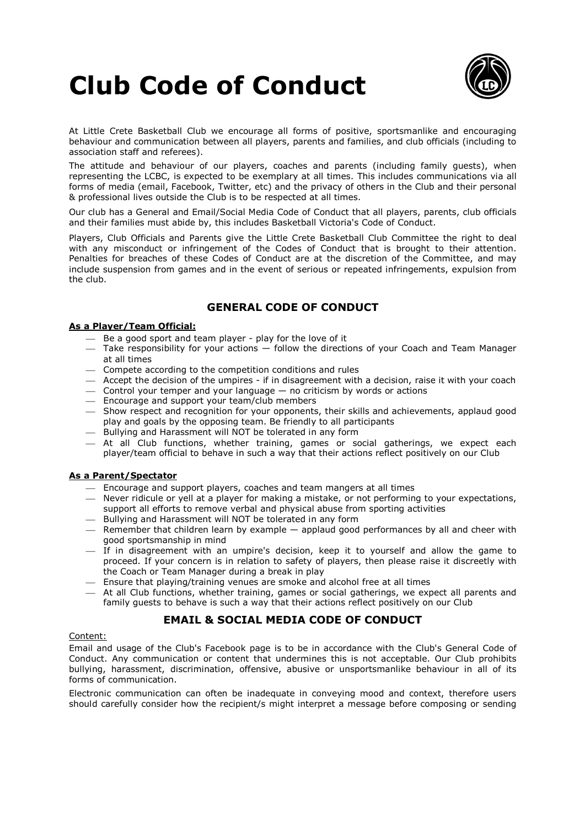# Club Code of Conduct



At Little Crete Basketball Club we encourage all forms of positive, sportsmanlike and encouraging behaviour and communication between all players, parents and families, and club officials (including to association staff and referees).

The attitude and behaviour of our players, coaches and parents (including family guests), when representing the LCBC, is expected to be exemplary at all times. This includes communications via all forms of media (email, Facebook, Twitter, etc) and the privacy of others in the Club and their personal & professional lives outside the Club is to be respected at all times.

Our club has a General and Email/Social Media Code of Conduct that all players, parents, club officials and their families must abide by, this includes Basketball Victoria's Code of Conduct.

Players, Club Officials and Parents give the Little Crete Basketball Club Committee the right to deal with any misconduct or infringement of the Codes of Conduct that is brought to their attention. Penalties for breaches of these Codes of Conduct are at the discretion of the Committee, and may include suspension from games and in the event of serious or repeated infringements, expulsion from the club.

## GENERAL CODE OF CONDUCT

## As a Player/Team Official:

- Be a good sport and team player play for the love of it
- Take responsibility for your actions follow the directions of your Coach and Team Manager at all times
- Compete according to the competition conditions and rules
- $-$  Accept the decision of the umpires if in disagreement with a decision, raise it with your coach
- $-$  Control your temper and your language  $-$  no criticism by words or actions
- Encourage and support your team/club members
- Show respect and recognition for your opponents, their skills and achievements, applaud good play and goals by the opposing team. Be friendly to all participants
- $-$  Bullying and Harassment will NOT be tolerated in any form
- At all Club functions, whether training, games or social gatherings, we expect each player/team official to behave in such a way that their actions reflect positively on our Club

### As a Parent/Spectator

- Encourage and support players, coaches and team mangers at all times
- Never ridicule or yell at a player for making a mistake, or not performing to your expectations, support all efforts to remove verbal and physical abuse from sporting activities
- $-$  Bullying and Harassment will NOT be tolerated in any form
- Remember that children learn by example applaud good performances by all and cheer with good sportsmanship in mind
- $-$  If in disagreement with an umpire's decision, keep it to yourself and allow the game to proceed. If your concern is in relation to safety of players, then please raise it discreetly with the Coach or Team Manager during a break in play
- $\overline{-}$  Ensure that playing/training venues are smoke and alcohol free at all times
- At all Club functions, whether training, games or social gatherings, we expect all parents and family guests to behave is such a way that their actions reflect positively on our Club

## EMAIL & SOCIAL MEDIA CODE OF CONDUCT

### Content:

Email and usage of the Club's Facebook page is to be in accordance with the Club's General Code of Conduct. Any communication or content that undermines this is not acceptable. Our Club prohibits bullying, harassment, discrimination, offensive, abusive or unsportsmanlike behaviour in all of its forms of communication.

Electronic communication can often be inadequate in conveying mood and context, therefore users should carefully consider how the recipient/s might interpret a message before composing or sending